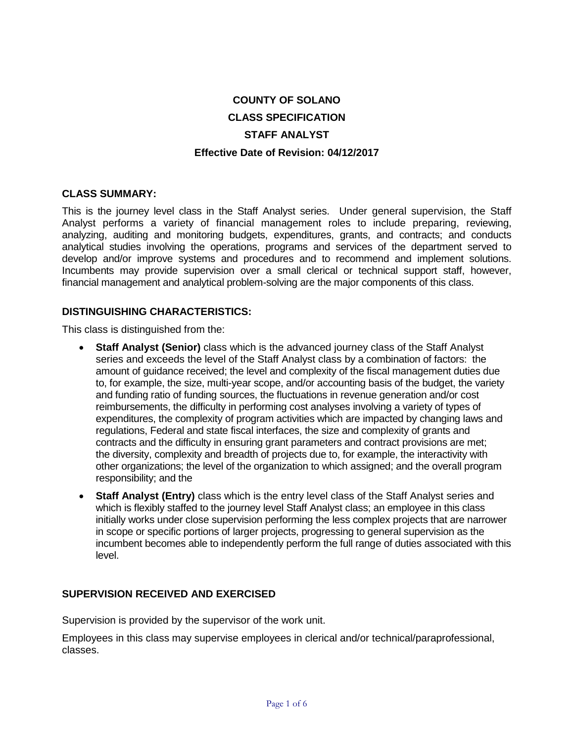# **COUNTY OF SOLANO CLASS SPECIFICATION STAFF ANALYST Effective Date of Revision: 04/12/2017**

#### **CLASS SUMMARY:**

This is the journey level class in the Staff Analyst series. Under general supervision, the Staff Analyst performs a variety of financial management roles to include preparing, reviewing, analyzing, auditing and monitoring budgets, expenditures, grants, and contracts; and conducts analytical studies involving the operations, programs and services of the department served to develop and/or improve systems and procedures and to recommend and implement solutions. Incumbents may provide supervision over a small clerical or technical support staff, however, financial management and analytical problem-solving are the major components of this class.

#### **DISTINGUISHING CHARACTERISTICS:**

This class is distinguished from the:

- **Staff Analyst (Senior)** class which is the advanced journey class of the Staff Analyst series and exceeds the level of the Staff Analyst class by a combination of factors: the amount of guidance received; the level and complexity of the fiscal management duties due to, for example, the size, multi-year scope, and/or accounting basis of the budget, the variety and funding ratio of funding sources, the fluctuations in revenue generation and/or cost reimbursements, the difficulty in performing cost analyses involving a variety of types of expenditures, the complexity of program activities which are impacted by changing laws and regulations, Federal and state fiscal interfaces, the size and complexity of grants and contracts and the difficulty in ensuring grant parameters and contract provisions are met; the diversity, complexity and breadth of projects due to, for example, the interactivity with other organizations; the level of the organization to which assigned; and the overall program responsibility; and the
- **Staff Analyst (Entry)** class which is the entry level class of the Staff Analyst series and which is flexibly staffed to the journey level Staff Analyst class; an employee in this class initially works under close supervision performing the less complex projects that are narrower in scope or specific portions of larger projects, progressing to general supervision as the incumbent becomes able to independently perform the full range of duties associated with this level.

## **SUPERVISION RECEIVED AND EXERCISED**

Supervision is provided by the supervisor of the work unit.

Employees in this class may supervise employees in clerical and/or technical/paraprofessional, classes.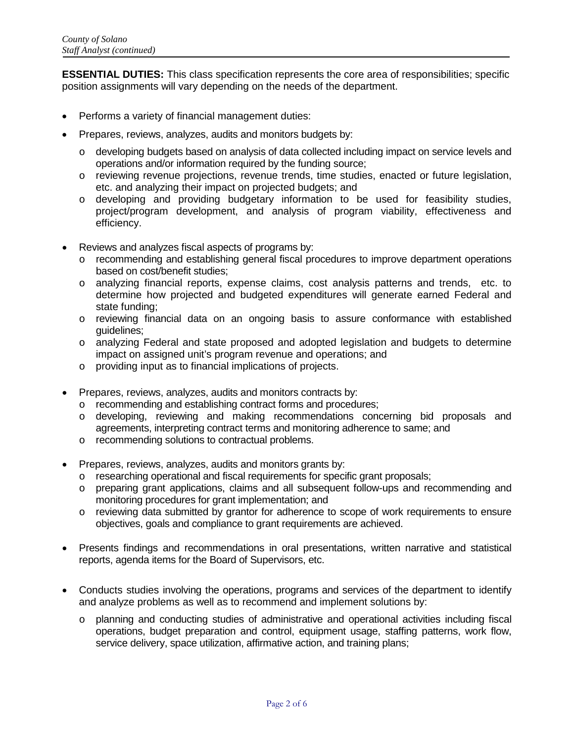**ESSENTIAL DUTIES:** This class specification represents the core area of responsibilities; specific position assignments will vary depending on the needs of the department.

- Performs a variety of financial management duties:
- Prepares, reviews, analyzes, audits and monitors budgets by:
	- o developing budgets based on analysis of data collected including impact on service levels and operations and/or information required by the funding source;
	- o reviewing revenue projections, revenue trends, time studies, enacted or future legislation, etc. and analyzing their impact on projected budgets; and
	- o developing and providing budgetary information to be used for feasibility studies, project/program development, and analysis of program viability, effectiveness and efficiency.
- Reviews and analyzes fiscal aspects of programs by:
	- o recommending and establishing general fiscal procedures to improve department operations based on cost/benefit studies;
	- o analyzing financial reports, expense claims, cost analysis patterns and trends, etc. to determine how projected and budgeted expenditures will generate earned Federal and state funding;
	- o reviewing financial data on an ongoing basis to assure conformance with established guidelines;
	- o analyzing Federal and state proposed and adopted legislation and budgets to determine impact on assigned unit's program revenue and operations; and
	- o providing input as to financial implications of projects.
- Prepares, reviews, analyzes, audits and monitors contracts by:
	- o recommending and establishing contract forms and procedures;
	- o developing, reviewing and making recommendations concerning bid proposals and agreements, interpreting contract terms and monitoring adherence to same; and
	- o recommending solutions to contractual problems.
- Prepares, reviews, analyzes, audits and monitors grants by:
	- o researching operational and fiscal requirements for specific grant proposals;
	- o preparing grant applications, claims and all subsequent follow-ups and recommending and monitoring procedures for grant implementation; and
	- o reviewing data submitted by grantor for adherence to scope of work requirements to ensure objectives, goals and compliance to grant requirements are achieved.
- Presents findings and recommendations in oral presentations, written narrative and statistical reports, agenda items for the Board of Supervisors, etc.
- Conducts studies involving the operations, programs and services of the department to identify and analyze problems as well as to recommend and implement solutions by:
	- o planning and conducting studies of administrative and operational activities including fiscal operations, budget preparation and control, equipment usage, staffing patterns, work flow, service delivery, space utilization, affirmative action, and training plans;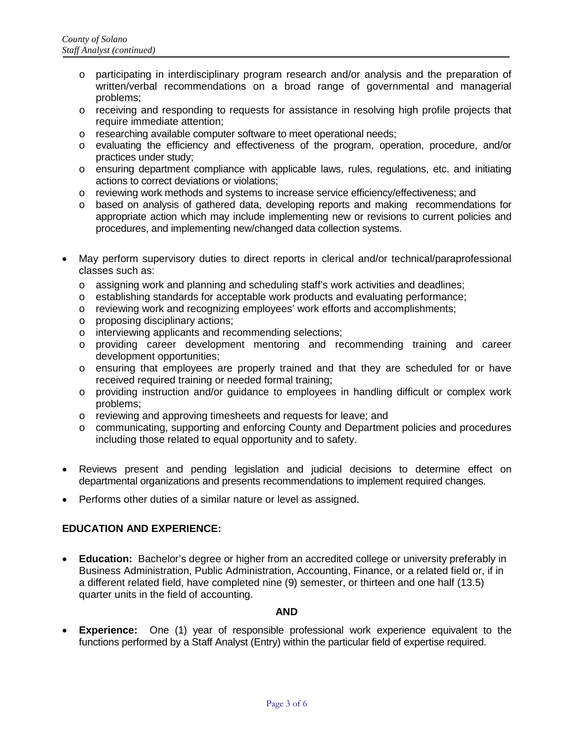- o participating in interdisciplinary program research and/or analysis and the preparation of written/verbal recommendations on a broad range of governmental and managerial problems;
- o receiving and responding to requests for assistance in resolving high profile projects that require immediate attention;
- o researching available computer software to meet operational needs;
- o evaluating the efficiency and effectiveness of the program, operation, procedure, and/or practices under study;
- o ensuring department compliance with applicable laws, rules, regulations, etc. and initiating actions to correct deviations or violations;
- o reviewing work methods and systems to increase service efficiency/effectiveness; and
- o based on analysis of gathered data, developing reports and making recommendations for appropriate action which may include implementing new or revisions to current policies and procedures, and implementing new/changed data collection systems.
- May perform supervisory duties to direct reports in clerical and/or technical/paraprofessional classes such as:
	- $\circ$  assigning work and planning and scheduling staff's work activities and deadlines;
	- o establishing standards for acceptable work products and evaluating performance;
	- o reviewing work and recognizing employees' work efforts and accomplishments;
	- o proposing disciplinary actions;
	- o interviewing applicants and recommending selections;
	- o providing career development mentoring and recommending training and career development opportunities;
	- o ensuring that employees are properly trained and that they are scheduled for or have received required training or needed formal training;
	- o providing instruction and/or guidance to employees in handling difficult or complex work problems;
	- o reviewing and approving timesheets and requests for leave; and
	- o communicating, supporting and enforcing County and Department policies and procedures including those related to equal opportunity and to safety.
- Reviews present and pending legislation and judicial decisions to determine effect on departmental organizations and presents recommendations to implement required changes.
- Performs other duties of a similar nature or level as assigned.

## **EDUCATION AND EXPERIENCE:**

• **Education:** Bachelor's degree or higher from an accredited college or university preferably in Business Administration, Public Administration, Accounting, Finance, or a related field or, if in a different related field, have completed nine (9) semester, or thirteen and one half (13.5) quarter units in the field of accounting.

#### **AND**

• **Experience:** One (1) year of responsible professional work experience equivalent to the functions performed by a Staff Analyst (Entry) within the particular field of expertise required.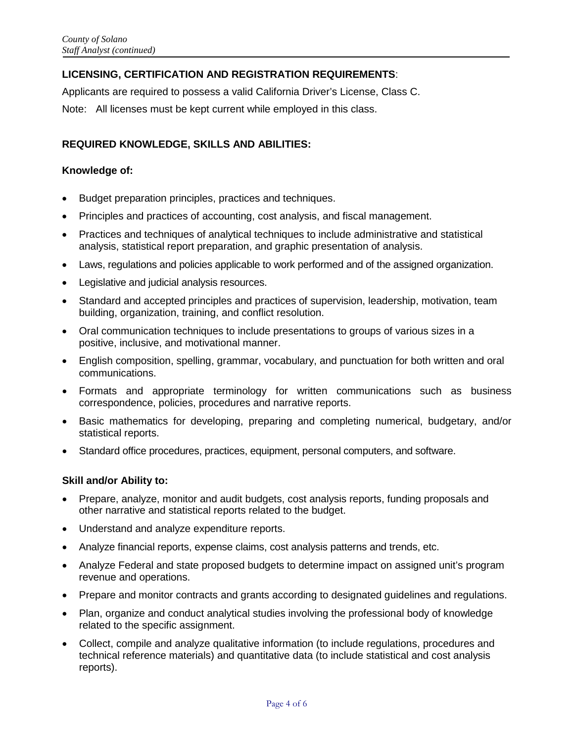# **LICENSING, CERTIFICATION AND REGISTRATION REQUIREMENTS**:

Applicants are required to possess a valid California Driver's License, Class C.

Note: All licenses must be kept current while employed in this class.

# **REQUIRED KNOWLEDGE, SKILLS AND ABILITIES:**

## **Knowledge of:**

- Budget preparation principles, practices and techniques.
- Principles and practices of accounting, cost analysis, and fiscal management.
- Practices and techniques of analytical techniques to include administrative and statistical analysis, statistical report preparation, and graphic presentation of analysis.
- Laws, regulations and policies applicable to work performed and of the assigned organization.
- Legislative and judicial analysis resources.
- Standard and accepted principles and practices of supervision, leadership, motivation, team building, organization, training, and conflict resolution.
- Oral communication techniques to include presentations to groups of various sizes in a positive, inclusive, and motivational manner.
- English composition, spelling, grammar, vocabulary, and punctuation for both written and oral communications.
- Formats and appropriate terminology for written communications such as business correspondence, policies, procedures and narrative reports.
- Basic mathematics for developing, preparing and completing numerical, budgetary, and/or statistical reports.
- Standard office procedures, practices, equipment, personal computers, and software.

## **Skill and/or Ability to:**

- Prepare, analyze, monitor and audit budgets, cost analysis reports, funding proposals and other narrative and statistical reports related to the budget.
- Understand and analyze expenditure reports.
- Analyze financial reports, expense claims, cost analysis patterns and trends, etc.
- Analyze Federal and state proposed budgets to determine impact on assigned unit's program revenue and operations.
- Prepare and monitor contracts and grants according to designated guidelines and regulations.
- Plan, organize and conduct analytical studies involving the professional body of knowledge related to the specific assignment.
- Collect, compile and analyze qualitative information (to include regulations, procedures and technical reference materials) and quantitative data (to include statistical and cost analysis reports).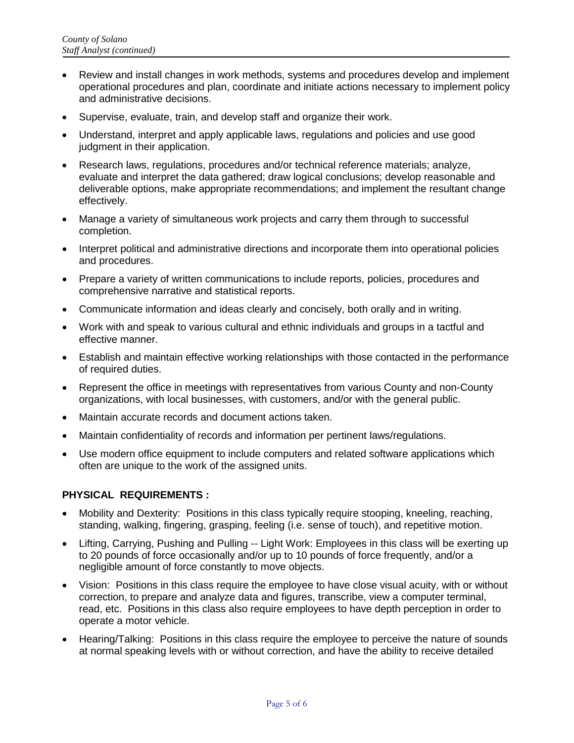- Review and install changes in work methods, systems and procedures develop and implement operational procedures and plan, coordinate and initiate actions necessary to implement policy and administrative decisions.
- Supervise, evaluate, train, and develop staff and organize their work.
- Understand, interpret and apply applicable laws, regulations and policies and use good judgment in their application.
- Research laws, regulations, procedures and/or technical reference materials; analyze, evaluate and interpret the data gathered; draw logical conclusions; develop reasonable and deliverable options, make appropriate recommendations; and implement the resultant change effectively.
- Manage a variety of simultaneous work projects and carry them through to successful completion.
- Interpret political and administrative directions and incorporate them into operational policies and procedures.
- Prepare a variety of written communications to include reports, policies, procedures and comprehensive narrative and statistical reports.
- Communicate information and ideas clearly and concisely, both orally and in writing.
- Work with and speak to various cultural and ethnic individuals and groups in a tactful and effective manner.
- Establish and maintain effective working relationships with those contacted in the performance of required duties.
- Represent the office in meetings with representatives from various County and non-County organizations, with local businesses, with customers, and/or with the general public.
- Maintain accurate records and document actions taken.
- Maintain confidentiality of records and information per pertinent laws/regulations.
- Use modern office equipment to include computers and related software applications which often are unique to the work of the assigned units.

## **PHYSICAL REQUIREMENTS :**

- Mobility and Dexterity: Positions in this class typically require stooping, kneeling, reaching, standing, walking, fingering, grasping, feeling (i.e. sense of touch), and repetitive motion.
- Lifting, Carrying, Pushing and Pulling -- Light Work: Employees in this class will be exerting up to 20 pounds of force occasionally and/or up to 10 pounds of force frequently, and/or a negligible amount of force constantly to move objects.
- Vision: Positions in this class require the employee to have close visual acuity, with or without correction, to prepare and analyze data and figures, transcribe, view a computer terminal, read, etc. Positions in this class also require employees to have depth perception in order to operate a motor vehicle.
- Hearing/Talking: Positions in this class require the employee to perceive the nature of sounds at normal speaking levels with or without correction, and have the ability to receive detailed